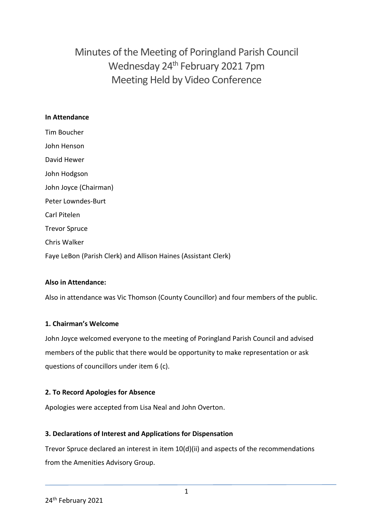Minutes of the Meeting of Poringland Parish Council Wednesday 24th February 2021 7pm Meeting Held by Video Conference

### **In Attendance**

Tim Boucher John Henson David Hewer John Hodgson John Joyce (Chairman) Peter Lowndes-Burt Carl Pitelen Trevor Spruce Chris Walker Faye LeBon (Parish Clerk) and Allison Haines (Assistant Clerk)

### **Also in Attendance:**

Also in attendance was Vic Thomson (County Councillor) and four members of the public.

### **1. Chairman's Welcome**

John Joyce welcomed everyone to the meeting of Poringland Parish Council and advised members of the public that there would be opportunity to make representation or ask questions of councillors under item 6 (c).

### **2. To Record Apologies for Absence**

Apologies were accepted from Lisa Neal and John Overton.

### **3. Declarations of Interest and Applications for Dispensation**

Trevor Spruce declared an interest in item 10(d)(ii) and aspects of the recommendations from the Amenities Advisory Group.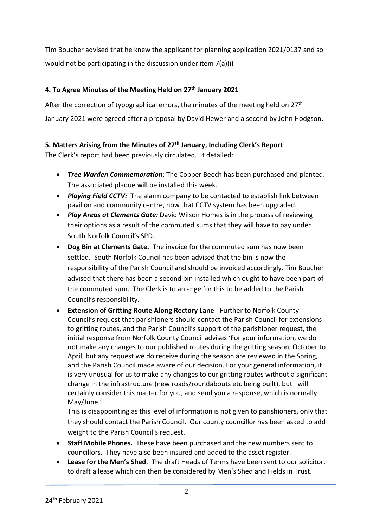Tim Boucher advised that he knew the applicant for planning application 2021/0137 and so would not be participating in the discussion under item 7(a)(i)

# **4. To Agree Minutes of the Meeting Held on 27th January 2021**

After the correction of typographical errors, the minutes of the meeting held on 27<sup>th</sup> January 2021 were agreed after a proposal by David Hewer and a second by John Hodgson.

# **5. Matters Arising from the Minutes of 27th January, Including Clerk's Report**

The Clerk's report had been previously circulated. It detailed:

- *Tree Warden Commemoration*: The Copper Beech has been purchased and planted. The associated plaque will be installed this week.
- *Playing Field CCTV:* The alarm company to be contacted to establish link between pavilion and community centre, now that CCTV system has been upgraded.
- *Play Areas at Clements Gate:* David Wilson Homes is in the process of reviewing their options as a result of the commuted sums that they will have to pay under South Norfolk Council's SPD.
- **Dog Bin at Clements Gate.** The invoice for the commuted sum has now been settled. South Norfolk Council has been advised that the bin is now the responsibility of the Parish Council and should be invoiced accordingly. Tim Boucher advised that there has been a second bin installed which ought to have been part of the commuted sum. The Clerk is to arrange for this to be added to the Parish Council's responsibility.
- **Extension of Gritting Route Along Rectory Lane** Further to Norfolk County Council's request that parishioners should contact the Parish Council for extensions to gritting routes, and the Parish Council's support of the parishioner request, the initial response from Norfolk County Council advises 'For your information, we do not make any changes to our published routes during the gritting season, October to April, but any request we do receive during the season are reviewed in the Spring, and the Parish Council made aware of our decision. For your general information, it is very unusual for us to make any changes to our gritting routes without a significant change in the infrastructure (new roads/roundabouts etc being built), but I will certainly consider this matter for you, and send you a response, which is normally May/June.'

This is disappointing as this level of information is not given to parishioners, only that they should contact the Parish Council. Our county councillor has been asked to add weight to the Parish Council's request.

- **Staff Mobile Phones.** These have been purchased and the new numbers sent to councillors. They have also been insured and added to the asset register.
- **Lease for the Men's Shed**. The draft Heads of Terms have been sent to our solicitor, to draft a lease which can then be considered by Men's Shed and Fields in Trust.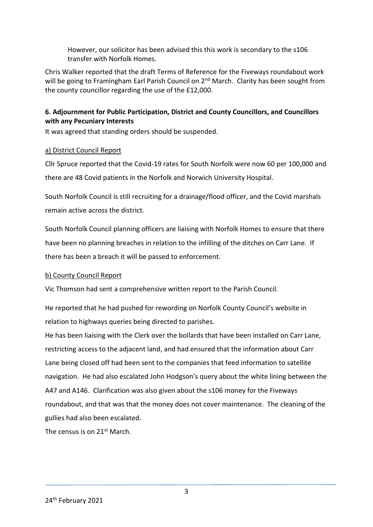However, our solicitor has been advised this this work is secondary to the s106 transfer with Norfolk Homes.

Chris Walker reported that the draft Terms of Reference for the Fiveways roundabout work will be going to Framingham Earl Parish Council on 2<sup>nd</sup> March. Clarity has been sought from the county councillor regarding the use of the £12,000.

## **6. Adjournment for Public Participation, District and County Councillors, and Councillors with any Pecuniary Interests**

It was agreed that standing orders should be suspended.

## a) District Council Report

Cllr Spruce reported that the Covid-19 rates for South Norfolk were now 60 per 100,000 and there are 48 Covid patients in the Norfolk and Norwich University Hospital.

South Norfolk Council is still recruiting for a drainage/flood officer, and the Covid marshals remain active across the district.

South Norfolk Council planning officers are liaising with Norfolk Homes to ensure that there have been no planning breaches in relation to the infilling of the ditches on Carr Lane. If there has been a breach it will be passed to enforcement.

### b) County Council Report

Vic Thomson had sent a comprehensive written report to the Parish Council.

He reported that he had pushed for rewording on Norfolk County Council's website in relation to highways queries being directed to parishes.

He has been liaising with the Clerk over the bollards that have been installed on Carr Lane, restricting access to the adjacent land, and had ensured that the information about Carr Lane being closed off had been sent to the companies that feed information to satellite navigation. He had also escalated John Hodgson's query about the white lining between the A47 and A146. Clarification was also given about the s106 money for the Fiveways roundabout, and that was that the money does not cover maintenance. The cleaning of the gullies had also been escalated.

The census is on 21<sup>st</sup> March.

3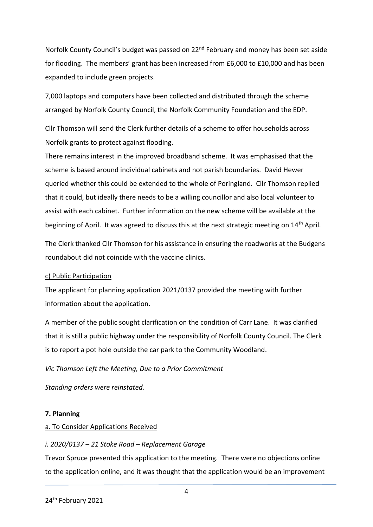Norfolk County Council's budget was passed on 22<sup>nd</sup> February and money has been set aside for flooding. The members' grant has been increased from £6,000 to £10,000 and has been expanded to include green projects.

7,000 laptops and computers have been collected and distributed through the scheme arranged by Norfolk County Council, the Norfolk Community Foundation and the EDP.

Cllr Thomson will send the Clerk further details of a scheme to offer households across Norfolk grants to protect against flooding.

There remains interest in the improved broadband scheme. It was emphasised that the scheme is based around individual cabinets and not parish boundaries. David Hewer queried whether this could be extended to the whole of Poringland. Cllr Thomson replied that it could, but ideally there needs to be a willing councillor and also local volunteer to assist with each cabinet. Further information on the new scheme will be available at the beginning of April. It was agreed to discuss this at the next strategic meeting on 14<sup>th</sup> April.

The Clerk thanked Cllr Thomson for his assistance in ensuring the roadworks at the Budgens roundabout did not coincide with the vaccine clinics.

#### c) Public Participation

The applicant for planning application 2021/0137 provided the meeting with further information about the application.

A member of the public sought clarification on the condition of Carr Lane. It was clarified that it is still a public highway under the responsibility of Norfolk County Council. The Clerk is to report a pot hole outside the car park to the Community Woodland.

*Vic Thomson Left the Meeting, Due to a Prior Commitment* 

*Standing orders were reinstated.* 

### **7. Planning**

### a. To Consider Applications Received

### *i. 2020/0137 – 21 Stoke Road – Replacement Garage*

Trevor Spruce presented this application to the meeting. There were no objections online to the application online, and it was thought that the application would be an improvement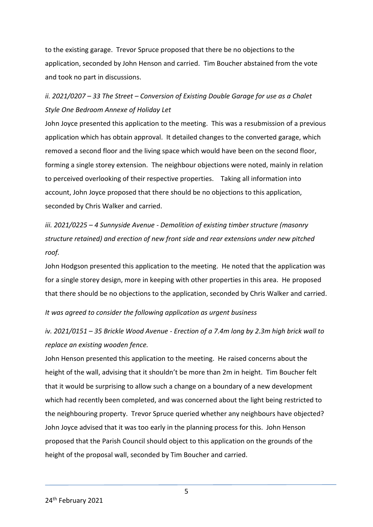to the existing garage. Trevor Spruce proposed that there be no objections to the application, seconded by John Henson and carried. Tim Boucher abstained from the vote and took no part in discussions.

# *ii. 2021/0207 – 33 The Street – Conversion of Existing Double Garage for use as a Chalet Style One Bedroom Annexe of Holiday Let*

John Joyce presented this application to the meeting. This was a resubmission of a previous application which has obtain approval. It detailed changes to the converted garage, which removed a second floor and the living space which would have been on the second floor, forming a single storey extension. The neighbour objections were noted, mainly in relation to perceived overlooking of their respective properties. Taking all information into account, John Joyce proposed that there should be no objections to this application, seconded by Chris Walker and carried.

*iii. 2021/0225 – 4 Sunnyside Avenue - Demolition of existing timber structure (masonry structure retained) and erection of new front side and rear extensions under new pitched roof.*

John Hodgson presented this application to the meeting. He noted that the application was for a single storey design, more in keeping with other properties in this area. He proposed that there should be no objections to the application, seconded by Chris Walker and carried.

*It was agreed to consider the following application as urgent business*

*iv. 2021/0151 – 35 Brickle Wood Avenue - Erection of a 7.4m long by 2.3m high brick wall to replace an existing wooden fence.*

John Henson presented this application to the meeting. He raised concerns about the height of the wall, advising that it shouldn't be more than 2m in height. Tim Boucher felt that it would be surprising to allow such a change on a boundary of a new development which had recently been completed, and was concerned about the light being restricted to the neighbouring property. Trevor Spruce queried whether any neighbours have objected? John Joyce advised that it was too early in the planning process for this. John Henson proposed that the Parish Council should object to this application on the grounds of the height of the proposal wall, seconded by Tim Boucher and carried.

5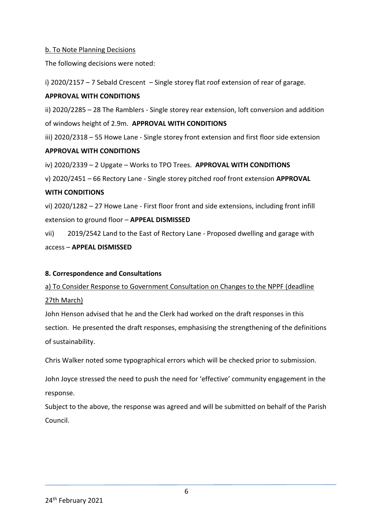### b. To Note Planning Decisions

The following decisions were noted:

i) 2020/2157 – 7 Sebald Crescent – Single storey flat roof extension of rear of garage.

#### **APPROVAL WITH CONDITIONS**

ii) 2020/2285 – 28 The Ramblers - Single storey rear extension, loft conversion and addition of windows height of 2.9m. **APPROVAL WITH CONDITIONS**

iii) 2020/2318 – 55 Howe Lane - Single storey front extension and first floor side extension

#### **APPROVAL WITH CONDITIONS**

iv) 2020/2339 – 2 Upgate – Works to TPO Trees. **APPROVAL WITH CONDITIONS**

v) 2020/2451 – 66 Rectory Lane - Single storey pitched roof front extension **APPROVAL** 

#### **WITH CONDITIONS**

vi) 2020/1282 – 27 Howe Lane - First floor front and side extensions, including front infill extension to ground floor – **APPEAL DISMISSED**

vii) 2019/2542 Land to the East of Rectory Lane - Proposed dwelling and garage with access – **APPEAL DISMISSED**

### **8. Correspondence and Consultations**

a) To Consider Response to Government Consultation on Changes to the NPPF (deadline 27th March)

John Henson advised that he and the Clerk had worked on the draft responses in this section. He presented the draft responses, emphasising the strengthening of the definitions of sustainability.

Chris Walker noted some typographical errors which will be checked prior to submission.

John Joyce stressed the need to push the need for 'effective' community engagement in the response.

Subject to the above, the response was agreed and will be submitted on behalf of the Parish Council.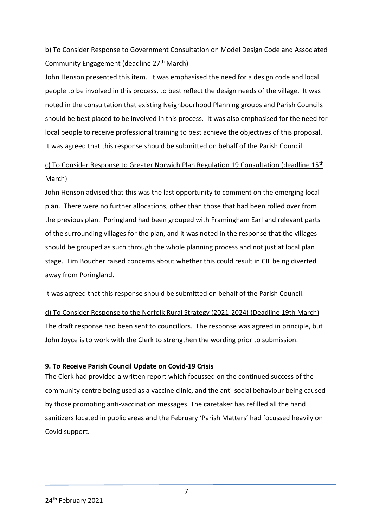# b) To Consider Response to Government Consultation on Model Design Code and Associated Community Engagement (deadline 27<sup>th</sup> March)

John Henson presented this item. It was emphasised the need for a design code and local people to be involved in this process, to best reflect the design needs of the village. It was noted in the consultation that existing Neighbourhood Planning groups and Parish Councils should be best placed to be involved in this process. It was also emphasised for the need for local people to receive professional training to best achieve the objectives of this proposal. It was agreed that this response should be submitted on behalf of the Parish Council.

# c) To Consider Response to Greater Norwich Plan Regulation 19 Consultation (deadline  $15<sup>th</sup>$ March)

John Henson advised that this was the last opportunity to comment on the emerging local plan. There were no further allocations, other than those that had been rolled over from the previous plan. Poringland had been grouped with Framingham Earl and relevant parts of the surrounding villages for the plan, and it was noted in the response that the villages should be grouped as such through the whole planning process and not just at local plan stage. Tim Boucher raised concerns about whether this could result in CIL being diverted away from Poringland.

It was agreed that this response should be submitted on behalf of the Parish Council.

d) To Consider Response to the Norfolk Rural Strategy (2021-2024) (Deadline 19th March) The draft response had been sent to councillors. The response was agreed in principle, but John Joyce is to work with the Clerk to strengthen the wording prior to submission.

### **9. To Receive Parish Council Update on Covid-19 Crisis**

The Clerk had provided a written report which focussed on the continued success of the community centre being used as a vaccine clinic, and the anti-social behaviour being caused by those promoting anti-vaccination messages. The caretaker has refilled all the hand sanitizers located in public areas and the February 'Parish Matters' had focussed heavily on Covid support.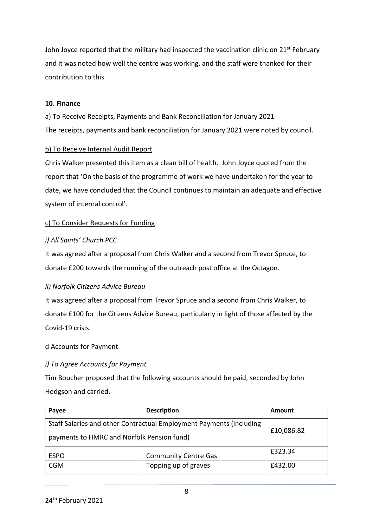John Joyce reported that the military had inspected the vaccination clinic on 21<sup>st</sup> February and it was noted how well the centre was working, and the staff were thanked for their contribution to this.

#### **10. Finance**

a) To Receive Receipts, Payments and Bank Reconciliation for January 2021 The receipts, payments and bank reconciliation for January 2021 were noted by council.

### b) To Receive Internal Audit Report

Chris Walker presented this item as a clean bill of health. John Joyce quoted from the report that 'On the basis of the programme of work we have undertaken for the year to date, we have concluded that the Council continues to maintain an adequate and effective system of internal control'.

### c) To Consider Requests for Funding

## *i) All Saints' Church PCC*

It was agreed after a proposal from Chris Walker and a second from Trevor Spruce, to donate £200 towards the running of the outreach post office at the Octagon.

### *ii) Norfolk Citizens Advice Bureau*

It was agreed after a proposal from Trevor Spruce and a second from Chris Walker, to donate £100 for the Citizens Advice Bureau, particularly in light of those affected by the Covid-19 crisis.

### d Accounts for Payment

## *i) To Agree Accounts for Payment*

Tim Boucher proposed that the following accounts should be paid, seconded by John Hodgson and carried.

| Payee                                                                                                             | <b>Description</b>          | Amount  |
|-------------------------------------------------------------------------------------------------------------------|-----------------------------|---------|
| Staff Salaries and other Contractual Employment Payments (including<br>payments to HMRC and Norfolk Pension fund) | £10,086.82                  |         |
| <b>ESPO</b>                                                                                                       | <b>Community Centre Gas</b> | £323.34 |
| <b>CGM</b>                                                                                                        | Topping up of graves        | £432.00 |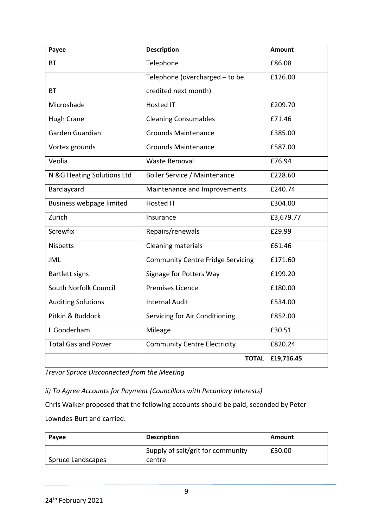| Payee                      | <b>Description</b>                       | <b>Amount</b> |
|----------------------------|------------------------------------------|---------------|
| <b>BT</b>                  | Telephone                                | £86.08        |
|                            | Telephone (overcharged - to be           | £126.00       |
| <b>BT</b>                  | credited next month)                     |               |
| Microshade                 | <b>Hosted IT</b>                         | £209.70       |
| <b>Hugh Crane</b>          | <b>Cleaning Consumables</b>              | £71.46        |
| Garden Guardian            | <b>Grounds Maintenance</b>               | £385.00       |
| Vortex grounds             | <b>Grounds Maintenance</b>               | £587.00       |
| Veolia                     | <b>Waste Removal</b>                     | £76.94        |
| N &G Heating Solutions Ltd | Boiler Service / Maintenance             | £228.60       |
| Barclaycard                | Maintenance and Improvements             | £240.74       |
| Business webpage limited   | <b>Hosted IT</b>                         | £304.00       |
| Zurich                     | Insurance                                | £3,679.77     |
| <b>Screwfix</b>            | Repairs/renewals                         | £29.99        |
| <b>Nisbetts</b>            | <b>Cleaning materials</b>                | £61.46        |
| <b>JML</b>                 | <b>Community Centre Fridge Servicing</b> | £171.60       |
| <b>Bartlett signs</b>      | Signage for Potters Way                  | £199.20       |
| South Norfolk Council      | <b>Premises Licence</b>                  | £180.00       |
| <b>Auditing Solutions</b>  | <b>Internal Audit</b>                    | £534.00       |
| Pitkin & Ruddock           | Servicing for Air Conditioning           | £852.00       |
| L Gooderham                | Mileage                                  | £30.51        |
| <b>Total Gas and Power</b> | <b>Community Centre Electricity</b>      | £820.24       |
|                            | <b>TOTAL</b>                             | £19,716.45    |

*Trevor Spruce Disconnected from the Meeting*

## *ii) To Agree Accounts for Payment (Councillors with Pecuniary Interests)*

Chris Walker proposed that the following accounts should be paid, seconded by Peter Lowndes-Burt and carried.

| Payee             | <b>Description</b>                          | Amount |
|-------------------|---------------------------------------------|--------|
| Spruce Landscapes | Supply of salt/grit for community<br>centre | £30.00 |
|                   |                                             |        |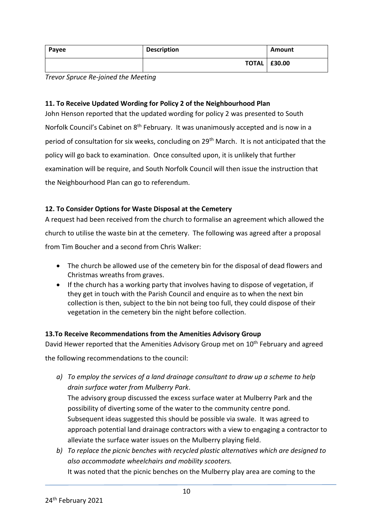| Payee | <b>Description</b> | Amount                |
|-------|--------------------|-----------------------|
|       |                    | <b>TOTAL   £30.00</b> |

*Trevor Spruce Re-joined the Meeting*

## **11. To Receive Updated Wording for Policy 2 of the Neighbourhood Plan**

John Henson reported that the updated wording for policy 2 was presented to South Norfolk Council's Cabinet on 8<sup>th</sup> February. It was unanimously accepted and is now in a period of consultation for six weeks, concluding on 29<sup>th</sup> March. It is not anticipated that the policy will go back to examination. Once consulted upon, it is unlikely that further examination will be require, and South Norfolk Council will then issue the instruction that the Neighbourhood Plan can go to referendum.

## **12. To Consider Options for Waste Disposal at the Cemetery**

A request had been received from the church to formalise an agreement which allowed the church to utilise the waste bin at the cemetery. The following was agreed after a proposal from Tim Boucher and a second from Chris Walker:

- The church be allowed use of the cemetery bin for the disposal of dead flowers and Christmas wreaths from graves.
- If the church has a working party that involves having to dispose of vegetation, if they get in touch with the Parish Council and enquire as to when the next bin collection is then, subject to the bin not being too full, they could dispose of their vegetation in the cemetery bin the night before collection.

### **13.To Receive Recommendations from the Amenities Advisory Group**

David Hewer reported that the Amenities Advisory Group met on 10<sup>th</sup> February and agreed

the following recommendations to the council:

*a) To employ the services of a land drainage consultant to draw up a scheme to help drain surface water from Mulberry Park*.

The advisory group discussed the excess surface water at Mulberry Park and the possibility of diverting some of the water to the community centre pond. Subsequent ideas suggested this should be possible via swale. It was agreed to approach potential land drainage contractors with a view to engaging a contractor to alleviate the surface water issues on the Mulberry playing field.

*b) To replace the picnic benches with recycled plastic alternatives which are designed to also accommodate wheelchairs and mobility scooters.* It was noted that the picnic benches on the Mulberry play area are coming to the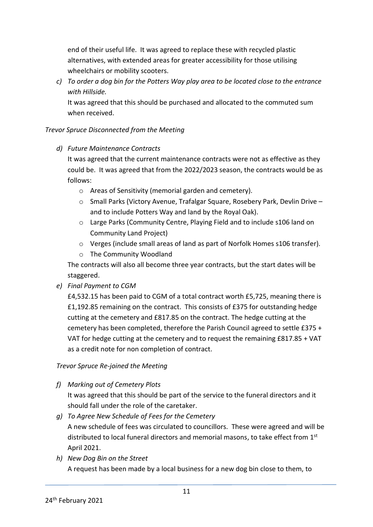end of their useful life. It was agreed to replace these with recycled plastic alternatives, with extended areas for greater accessibility for those utilising wheelchairs or mobility scooters.

*c) To order a dog bin for the Potters Way play area to be located close to the entrance with Hillside.*

It was agreed that this should be purchased and allocated to the commuted sum when received.

## *Trevor Spruce Disconnected from the Meeting*

*d) Future Maintenance Contracts*

It was agreed that the current maintenance contracts were not as effective as they could be. It was agreed that from the 2022/2023 season, the contracts would be as follows:

- o Areas of Sensitivity (memorial garden and cemetery).
- o Small Parks (Victory Avenue, Trafalgar Square, Rosebery Park, Devlin Drive and to include Potters Way and land by the Royal Oak).
- o Large Parks (Community Centre, Playing Field and to include s106 land on Community Land Project)
- o Verges (include small areas of land as part of Norfolk Homes s106 transfer).
- o The Community Woodland

The contracts will also all become three year contracts, but the start dates will be staggered.

*e) Final Payment to CGM*

£4,532.15 has been paid to CGM of a total contract worth £5,725, meaning there is £1,192.85 remaining on the contract. This consists of £375 for outstanding hedge cutting at the cemetery and £817.85 on the contract. The hedge cutting at the cemetery has been completed, therefore the Parish Council agreed to settle £375 + VAT for hedge cutting at the cemetery and to request the remaining £817.85 + VAT as a credit note for non completion of contract.

## *Trevor Spruce Re-joined the Meeting*

*f) Marking out of Cemetery Plots*

It was agreed that this should be part of the service to the funeral directors and it should fall under the role of the caretaker.

- *g) To Agree New Schedule of Fees for the Cemetery* A new schedule of fees was circulated to councillors. These were agreed and will be distributed to local funeral directors and memorial masons, to take effect from  $1<sup>st</sup>$ April 2021.
- *h) New Dog Bin on the Street*

A request has been made by a local business for a new dog bin close to them, to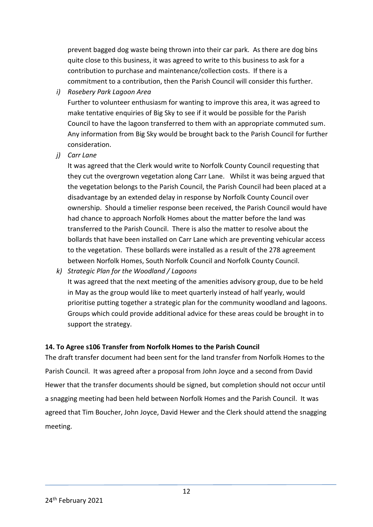prevent bagged dog waste being thrown into their car park. As there are dog bins quite close to this business, it was agreed to write to this business to ask for a contribution to purchase and maintenance/collection costs. If there is a commitment to a contribution, then the Parish Council will consider this further.

*i) Rosebery Park Lagoon Area*

Further to volunteer enthusiasm for wanting to improve this area, it was agreed to make tentative enquiries of Big Sky to see if it would be possible for the Parish Council to have the lagoon transferred to them with an appropriate commuted sum. Any information from Big Sky would be brought back to the Parish Council for further consideration.

*j) Carr Lane*

It was agreed that the Clerk would write to Norfolk County Council requesting that they cut the overgrown vegetation along Carr Lane. Whilst it was being argued that the vegetation belongs to the Parish Council, the Parish Council had been placed at a disadvantage by an extended delay in response by Norfolk County Council over ownership. Should a timelier response been received, the Parish Council would have had chance to approach Norfolk Homes about the matter before the land was transferred to the Parish Council. There is also the matter to resolve about the bollards that have been installed on Carr Lane which are preventing vehicular access to the vegetation. These bollards were installed as a result of the 278 agreement between Norfolk Homes, South Norfolk Council and Norfolk County Council.

*k) Strategic Plan for the Woodland / Lagoons*

It was agreed that the next meeting of the amenities advisory group, due to be held in May as the group would like to meet quarterly instead of half yearly, would prioritise putting together a strategic plan for the community woodland and lagoons. Groups which could provide additional advice for these areas could be brought in to support the strategy.

## **14. To Agree s106 Transfer from Norfolk Homes to the Parish Council**

The draft transfer document had been sent for the land transfer from Norfolk Homes to the Parish Council. It was agreed after a proposal from John Joyce and a second from David Hewer that the transfer documents should be signed, but completion should not occur until a snagging meeting had been held between Norfolk Homes and the Parish Council. It was agreed that Tim Boucher, John Joyce, David Hewer and the Clerk should attend the snagging meeting.